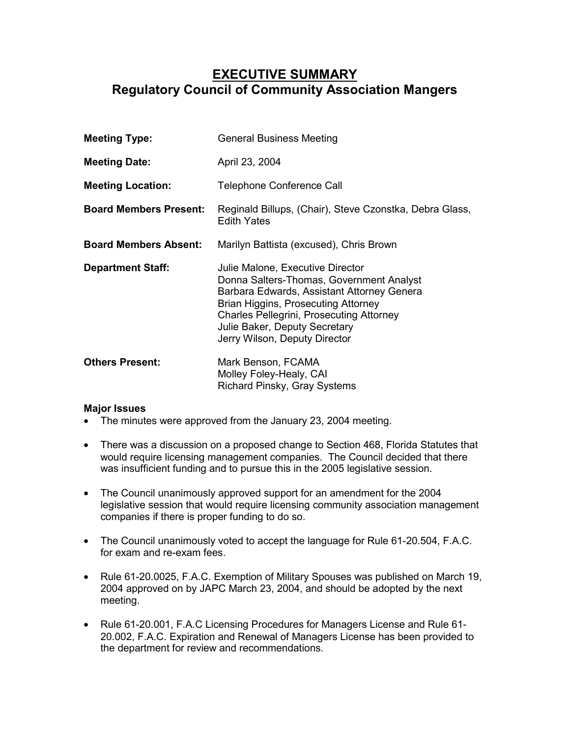## **EXECUTIVE SUMMARY Regulatory Council of Community Association Mangers**

**Meeting Type:** General Business Meeting **Meeting Date:** April 23, 2004 **Meeting Location:** Telephone Conference Call **Board Members Present:** Reginald Billups, (Chair), Steve Czonstka, Debra Glass, Edith Yates **Board Members Absent:** Marilyn Battista (excused), Chris Brown **Department Staff:** Julie Malone, Executive Director Donna Salters-Thomas, Government Analyst Barbara Edwards, Assistant Attorney Genera Brian Higgins, Prosecuting Attorney Charles Pellegrini, Prosecuting Attorney Julie Baker, Deputy Secretary Jerry Wilson, Deputy Director **Others Present:** Mark Benson, FCAMA Molley Foley-Healy, CAI Richard Pinsky, Gray Systems

## **Major Issues**

- The minutes were approved from the January 23, 2004 meeting.
- There was a discussion on a proposed change to Section 468, Florida Statutes that would require licensing management companies. The Council decided that there was insufficient funding and to pursue this in the 2005 legislative session.
- The Council unanimously approved support for an amendment for the 2004 legislative session that would require licensing community association management companies if there is proper funding to do so.
- The Council unanimously voted to accept the language for Rule 61-20.504, F.A.C. for exam and re-exam fees.
- Rule 61-20.0025, F.A.C. Exemption of Military Spouses was published on March 19, 2004 approved on by JAPC March 23, 2004, and should be adopted by the next meeting.
- Rule 61-20.001, F.A.C Licensing Procedures for Managers License and Rule 61- 20.002, F.A.C. Expiration and Renewal of Managers License has been provided to the department for review and recommendations.